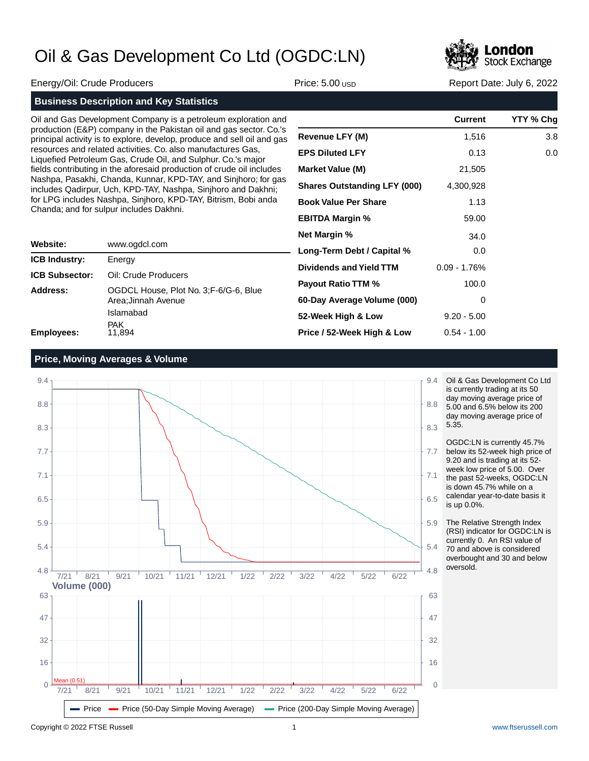

Energy/Oil: Crude Producers **Price: 5.00 USD Report Date: July 6, 2022** Report Date: July 6, 2022

Oil and Gas Development Company is a petroleum exploration and production (E&P) company in the Pakistan oil and gas sector. Co.'s principal activity is to explore, develop, produce and sell oil and gas resources and related activities. Co. also manufactures Gas, Liquefied Petroleum Gas, Crude Oil, and Sulphur. Co.'s major fields contributing in the aforesaid production of crude oil includes Nashpa, Pasakhi, Chanda, Kunnar, KPD-TAY, and Sinjhoro; for gas includes Qadirpur, Uch, KPD-TAY, Nashpa, Sinjhoro and Dakhni; for LPG includes Nashpa, Sinjhoro, KPD-TAY, Bitrism, Bobi anda Chanda; and for sulpur includes Dakhni.

| Website:              | www.ogdcl.com                                                 |
|-----------------------|---------------------------------------------------------------|
| <b>ICB Industry:</b>  | Energy                                                        |
| <b>ICB Subsector:</b> | Oil: Crude Producers                                          |
| Address:              | OGDCL House, Plot No. 3; F-6/G-6, Blue<br>Area; Jinnah Avenue |
|                       | Islamabad                                                     |
| <b>Employees:</b>     | <b>PAK</b><br>11.894                                          |

|                                     | <b>Current</b> | YTY % Chg |
|-------------------------------------|----------------|-----------|
| Revenue LFY (M)                     | 1,516          | 3.8       |
| <b>EPS Diluted LFY</b>              | 0.13           | 0.0       |
| <b>Market Value (M)</b>             | 21,505         |           |
| <b>Shares Outstanding LFY (000)</b> | 4,300,928      |           |
| <b>Book Value Per Share</b>         | 1.13           |           |
| <b>EBITDA Margin %</b>              | 59.00          |           |
| <b>Net Margin %</b>                 | 34.0           |           |
| Long-Term Debt / Capital %          | 0.0            |           |
| Dividends and Yield TTM             | $0.09 - 1.76%$ |           |
| <b>Payout Ratio TTM %</b>           | 100.0          |           |
| 60-Day Average Volume (000)         | 0              |           |
| 52-Week High & Low                  | $9.20 - 5.00$  |           |
| Price / 52-Week High & Low          | $0.54 - 1.00$  |           |

### **Price, Moving Averages & Volume**



Oil & Gas Development Co Ltd is currently trading at its 50 day moving average price of 5.00 and 6.5% below its 200 day moving average price of 5.35.

OGDC:LN is currently 45.7% below its 52-week high price of 9.20 and is trading at its 52 week low price of 5.00. Over the past 52-weeks, OGDC:LN is down 45.7% while on a calendar year-to-date basis it is up 0.0%.

The Relative Strength Index (RSI) indicator for OGDC:LN is currently 0. An RSI value of 70 and above is considered overbought and 30 and below oversold.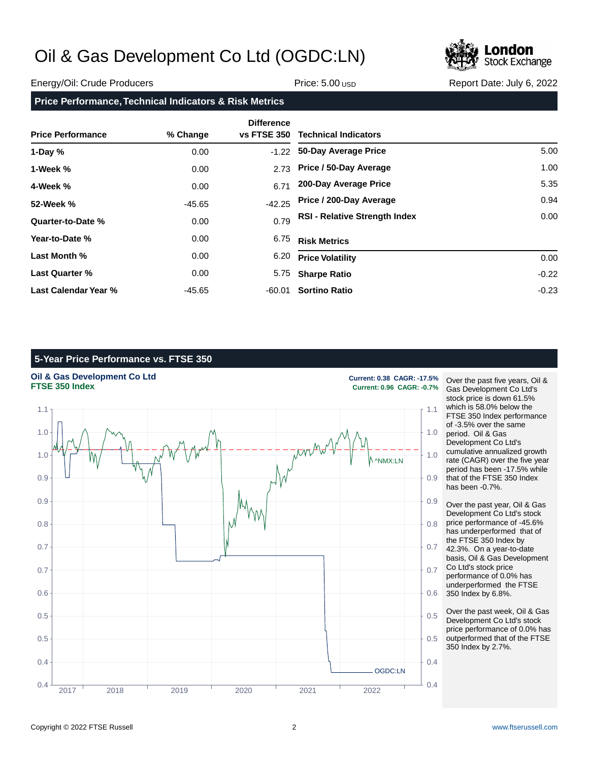

### Energy/Oil: Crude Producers **Price: 5.00** USD Price: 5.00 USD Report Date: July 6, 2022

### **Price Performance, Technical Indicators & Risk Metrics**

| <b>Price Performance</b> | % Change | <b>Difference</b><br><b>vs FTSE 350</b> | <b>Technical Indicators</b>          |         |
|--------------------------|----------|-----------------------------------------|--------------------------------------|---------|
| 1-Day $%$                | 0.00     | $-1.22$                                 | 50-Day Average Price                 | 5.00    |
| 1-Week %                 | 0.00     | 2.73                                    | Price / 50-Day Average               | 1.00    |
| 4-Week %                 | 0.00     | 6.71                                    | 200-Day Average Price                | 5.35    |
| 52-Week %                | $-45.65$ | $-42.25$                                | Price / 200-Day Average              | 0.94    |
| Quarter-to-Date %        | 0.00     | 0.79                                    | <b>RSI - Relative Strength Index</b> | 0.00    |
| Year-to-Date %           | 0.00     | 6.75                                    | <b>Risk Metrics</b>                  |         |
| Last Month %             | 0.00     | 6.20                                    | <b>Price Volatility</b>              | 0.00    |
| <b>Last Quarter %</b>    | 0.00     | 5.75                                    | <b>Sharpe Ratio</b>                  | $-0.22$ |
| Last Calendar Year %     | -45.65   | -60.01                                  | <b>Sortino Ratio</b>                 | $-0.23$ |

### **5-Year Price Performance vs. FTSE 350**



Over the past five years, Oil & Gas Development Co Ltd's stock price is down 61.5% which is 58.0% below the FTSE 350 Index performance of -3.5% over the same period. Oil & Gas Development Co Ltd's cumulative annualized growth rate (CAGR) over the five year period has been -17.5% while that of the FTSE 350 Index has been -0.7%.

Over the past year, Oil & Gas Development Co Ltd's stock price performance of -45.6% has underperformed that of the FTSE 350 Index by 42.3%. On a year-to-date basis, Oil & Gas Development Co Ltd's stock price performance of 0.0% has underperformed the FTSE 350 Index by 6.8%.

Over the past week, Oil & Gas Development Co Ltd's stock price performance of 0.0% has outperformed that of the FTSE 350 Index by 2.7%.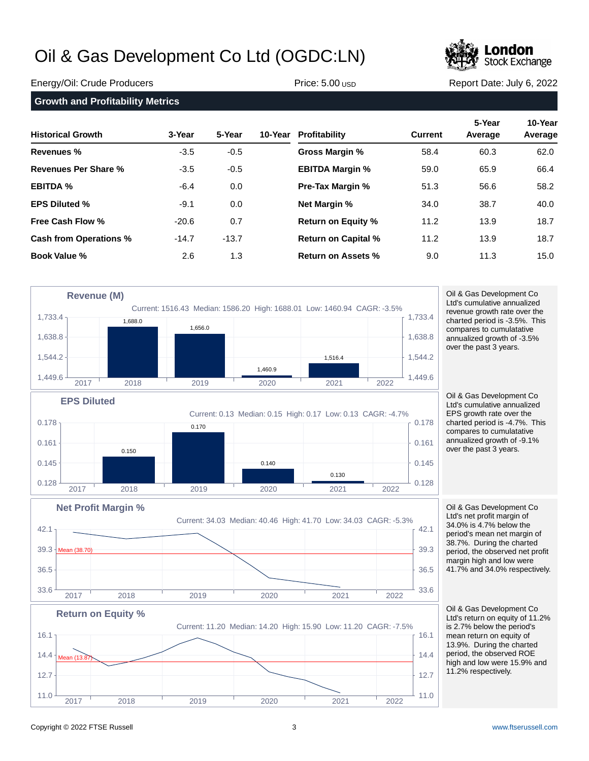

### Energy/Oil: Crude Producers **Price: 5.00 USD Report Date: July 6, 2022** Report Date: July 6, 2022

| <b>Growth and Profitability Metrics</b> |         |         |         |                            |                |                   |                    |
|-----------------------------------------|---------|---------|---------|----------------------------|----------------|-------------------|--------------------|
| <b>Historical Growth</b>                | 3-Year  | 5-Year  | 10-Year | Profitability              | <b>Current</b> | 5-Year<br>Average | 10-Year<br>Average |
| Revenues %                              | $-3.5$  | $-0.5$  |         | <b>Gross Margin %</b>      | 58.4           | 60.3              | 62.0               |
| Revenues Per Share %                    | $-3.5$  | $-0.5$  |         | <b>EBITDA Margin %</b>     | 59.0           | 65.9              | 66.4               |
| <b>EBITDA %</b>                         | -6.4    | 0.0     |         | Pre-Tax Margin %           | 51.3           | 56.6              | 58.2               |
| <b>EPS Diluted %</b>                    | $-9.1$  | 0.0     |         | <b>Net Margin %</b>        | 34.0           | 38.7              | 40.0               |
| <b>Free Cash Flow %</b>                 | $-20.6$ | 0.7     |         | <b>Return on Equity %</b>  | 11.2           | 13.9              | 18.7               |
| <b>Cash from Operations %</b>           | $-14.7$ | $-13.7$ |         | <b>Return on Capital %</b> | 11.2           | 13.9              | 18.7               |
| <b>Book Value %</b>                     | 2.6     | 1.3     |         | Return on Assets %         | 9.0            | 11.3              | 15.0               |
|                                         |         |         |         |                            |                |                   |                    |



 $33.6$   $\frac{1}{20.2}$   $\frac{1}{20.6}$   $\frac{33.6}{20.2}$   $\frac{1}{20.3}$   $\frac{33.6}{20.2}$   $\frac{1}{20.3}$   $\frac{33.6}{20.2}$ 

 $11.0 \frac{1}{1004}$   $11.0 \frac{1}{1004}$  11.0

2017 2018 2019 2020 2021 2022

 $\sim$  12.7  $\sim$  12.7

 $14.4 \frac{1}{2}$  Mean (13.82) 14.4

16.1  $\sim$  16.1  $\sim$  16.1

2017 2018 2019 2020 2021 2022

 $36.5$   $\uparrow$  36.5

Ltd's cumulative annualized revenue growth rate over the charted period is -3.5%. This compares to cumulatative annualized growth of -3.5% over the past 3 years.

Oil & Gas Development Co Ltd's cumulative annualized EPS growth rate over the charted period is -4.7%. This compares to cumulatative annualized growth of -9.1% over the past 3 years.

Oil & Gas Development Co Ltd's net profit margin of 34.0% is 4.7% below the period's mean net margin of 38.7%. During the charted period, the observed net profit margin high and low were 41.7% and 34.0% respectively.

Oil & Gas Development Co Ltd's return on equity of 11.2% is 2.7% below the period's mean return on equity of 13.9%. During the charted period, the observed ROE high and low were 15.9% and 11.2% respectively.

Mean (13.87)

**Return on Equity %**

Current: 11.20 Median: 14.20 High: 15.90 Low: 11.20 CAGR: -7.5%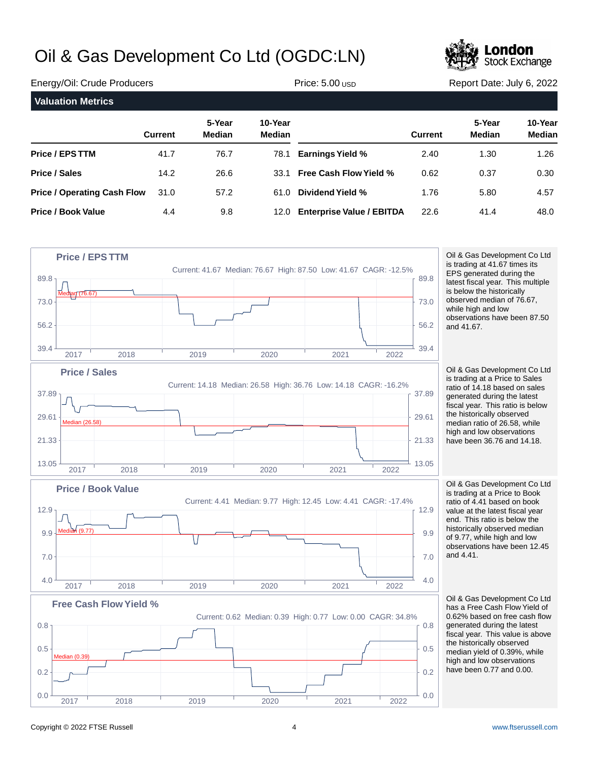

| Energy/Oil: Crude Producers        |                | Price: $5.00$ usp |                          | Report Date: July 6, 2022        |                |                         |                          |
|------------------------------------|----------------|-------------------|--------------------------|----------------------------------|----------------|-------------------------|--------------------------|
| <b>Valuation Metrics</b>           |                |                   |                          |                                  |                |                         |                          |
|                                    | <b>Current</b> | 5-Year<br>Median  | 10-Year<br><b>Median</b> |                                  | <b>Current</b> | 5-Year<br><b>Median</b> | 10-Year<br><b>Median</b> |
| <b>Price / EPS TTM</b>             | 41.7           | 76.7              | 78.1                     | <b>Earnings Yield %</b>          | 2.40           | 1.30                    | 1.26                     |
| <b>Price / Sales</b>               | 14.2           | 26.6              | 33.1                     | <b>Free Cash Flow Yield %</b>    | 0.62           | 0.37                    | 0.30                     |
| <b>Price / Operating Cash Flow</b> | 31.0           | 57.2              | 61.0                     | Dividend Yield %                 | 1.76           | 5.80                    | 4.57                     |
| <b>Price / Book Value</b>          | 4.4            | 9.8               | 12.0                     | <b>Enterprise Value / EBITDA</b> | 22.6           | 41.4                    | 48.0                     |



### Copyright © 2022 FTSE Russell 4 [www.ftserussell.com](http://www.ftserussell.com)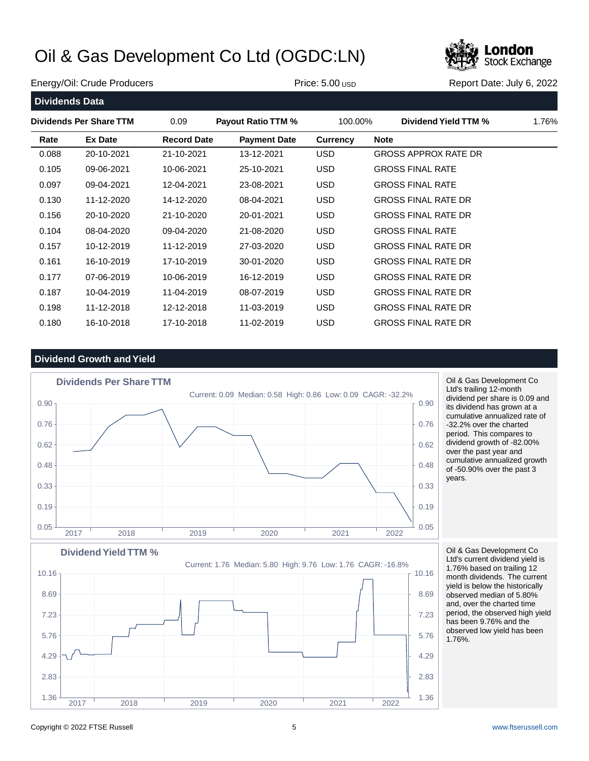

### Energy/Oil: Crude Producers **Price: 5.00 USD Report Date: July 6, 2022** Report Date: July 6, 2022

| 1.76% |
|-------|
|       |
|       |
|       |
|       |
|       |
|       |
|       |
|       |
|       |
|       |
|       |
|       |
|       |
|       |

### **Dividend Growth and Yield**



Oil & Gas Development Co Ltd's trailing 12-month dividend per share is 0.09 and its dividend has grown at a cumulative annualized rate of -32.2% over the charted period. This compares to dividend growth of -82.00% over the past year and cumulative annualized growth of -50.90% over the past 3 years.

Oil & Gas Development Co Ltd's current dividend yield is 1.76% based on trailing 12 month dividends. The current yield is below the historically observed median of 5.80% and, over the charted time period, the observed high yield has been 9.76% and the observed low yield has been 1.76%.

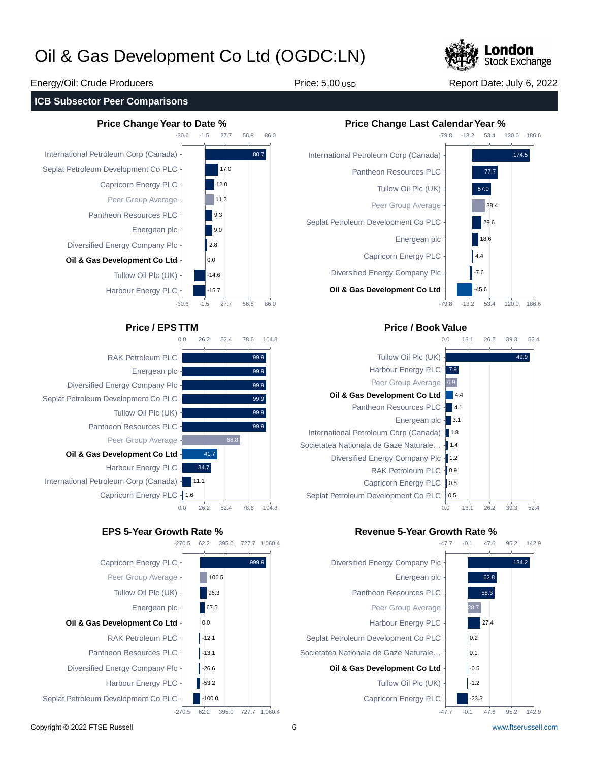

### **ICB Subsector Peer Comparisons**





104.8

99.9 99.9 99.9 99.9 99.9 99.9





### **Price / EPS TTM Price / Book Value**



### **EPS 5-Year Growth Rate % Revenue 5-Year Growth Rate %**



## Energy/Oil: Crude Producers **Price: 5.00 USD Report Date: July 6, 2022** Report Date: July 6, 2022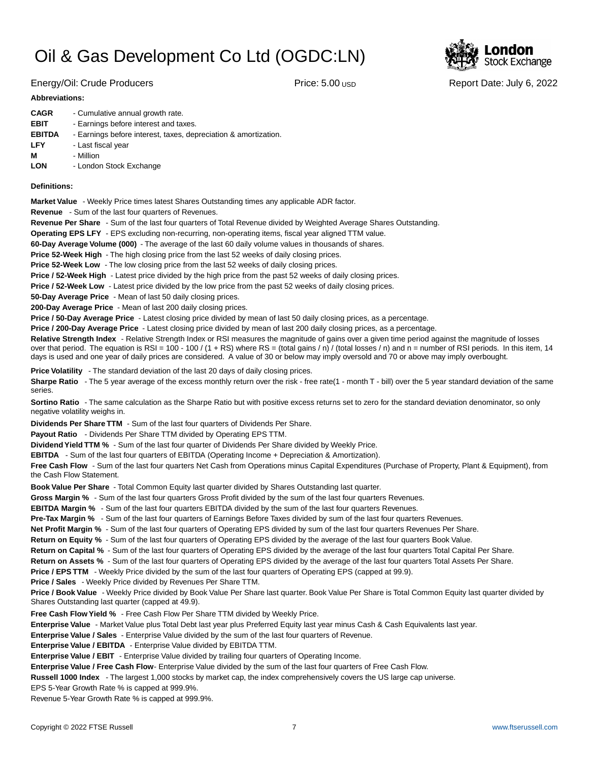

Energy/Oil: Crude Producers **Price: 5.00 USD Report Date: July 6, 2022** 

### **Abbreviations:**

| <b>CAGR</b>   | - Cumulative annual growth rate.                                |
|---------------|-----------------------------------------------------------------|
| <b>EBIT</b>   | - Earnings before interest and taxes.                           |
| <b>EBITDA</b> | - Earnings before interest, taxes, depreciation & amortization. |
| LFY           | - Last fiscal year                                              |
| М             | - Million                                                       |
| <b>LON</b>    | - London Stock Exchange                                         |

### **Definitions:**

**Market Value** - Weekly Price times latest Shares Outstanding times any applicable ADR factor.

**Revenue** - Sum of the last four quarters of Revenues.

**Revenue Per Share** - Sum of the last four quarters of Total Revenue divided by Weighted Average Shares Outstanding.

**Operating EPS LFY** - EPS excluding non-recurring, non-operating items, fiscal year aligned TTM value.

60-Day Average Volume (000) - The average of the last 60 daily volume values in thousands of shares.

**Price 52-Week High** - The high closing price from the last 52 weeks of daily closing prices.

**Price 52-Week Low** - The low closing price from the last 52 weeks of daily closing prices.

**Price / 52-Week High** - Latest price divided by the high price from the past 52 weeks of daily closing prices.

**Price / 52-Week Low** - Latest price divided by the low price from the past 52 weeks of daily closing prices.

**50-Day Average Price** - Mean of last 50 daily closing prices.

**200-Day Average Price** - Mean of last 200 daily closing prices.

Price / 50-Day Average Price - Latest closing price divided by mean of last 50 daily closing prices, as a percentage.

**Price / 200-Day Average Price** - Latest closing price divided by mean of last 200 daily closing prices, as a percentage.

Relative Strength Index - Relative Strength Index or RSI measures the magnitude of gains over a given time period against the magnitude of losses over that period. The equation is RSI = 100 - 100 / (1 + RS) where RS = (total gains / n) / (total losses / n) and n = number of RSI periods. In this item, 14 days is used and one year of daily prices are considered. A value of 30 or below may imply oversold and 70 or above may imply overbought.

**Price Volatility** - The standard deviation of the last 20 days of daily closing prices.

Sharpe Ratio - The 5 year average of the excess monthly return over the risk - free rate(1 - month T - bill) over the 5 year standard deviation of the same series.

**Sortino Ratio** - The same calculation as the Sharpe Ratio but with positive excess returns set to zero for the standard deviation denominator, so only negative volatility weighs in.

**Dividends Per Share TTM** - Sum of the last four quarters of Dividends Per Share.

Payout Ratio - Dividends Per Share TTM divided by Operating EPS TTM.

**Dividend Yield TTM %** - Sum of the last four quarter of Dividends Per Share divided by Weekly Price.

**EBITDA** - Sum of the last four quarters of EBITDA (Operating Income + Depreciation & Amortization).

**Free Cash Flow** - Sum of the last four quarters Net Cash from Operations minus Capital Expenditures (Purchase of Property, Plant & Equipment), from the Cash Flow Statement.

**Book Value Per Share** - Total Common Equity last quarter divided by Shares Outstanding last quarter.

**Gross Margin %** - Sum of the last four quarters Gross Profit divided by the sum of the last four quarters Revenues.

**EBITDA Margin %** - Sum of the last four quarters EBITDA divided by the sum of the last four quarters Revenues.

**Pre-Tax Margin %** - Sum of the last four quarters of Earnings Before Taxes divided by sum of the last four quarters Revenues.

**Net Profit Margin %** - Sum of the last four quarters of Operating EPS divided by sum of the last four quarters Revenues Per Share.

**Return on Equity %** - Sum of the last four quarters of Operating EPS divided by the average of the last four quarters Book Value.

**Return on Capital %** - Sum of the last four quarters of Operating EPS divided by the average of the last four quarters Total Capital Per Share.

**Return on Assets %** - Sum of the last four quarters of Operating EPS divided by the average of the last four quarters Total Assets Per Share.

**Price / EPS TTM** - Weekly Price divided by the sum of the last four quarters of Operating EPS (capped at 99.9).

**Price / Sales** - Weekly Price divided by Revenues Per Share TTM.

**Price / Book Value** - Weekly Price divided by Book Value Per Share last quarter. Book Value Per Share is Total Common Equity last quarter divided by Shares Outstanding last quarter (capped at 49.9).

**Free Cash Flow Yield %** - Free Cash Flow Per Share TTM divided by Weekly Price.

Enterprise Value - Market Value plus Total Debt last year plus Preferred Equity last year minus Cash & Cash Equivalents last year.

**Enterprise Value / Sales** - Enterprise Value divided by the sum of the last four quarters of Revenue.

**Enterprise Value / EBITDA** - Enterprise Value divided by EBITDA TTM.

**Enterprise Value / EBIT** - Enterprise Value divided by trailing four quarters of Operating Income.

Enterprise Value / Free Cash Flow- Enterprise Value divided by the sum of the last four quarters of Free Cash Flow.

**Russell 1000 Index** - The largest 1,000 stocks by market cap, the index comprehensively covers the US large cap universe.

EPS 5-Year Growth Rate % is capped at 999.9%.

Revenue 5-Year Growth Rate % is capped at 999.9%.